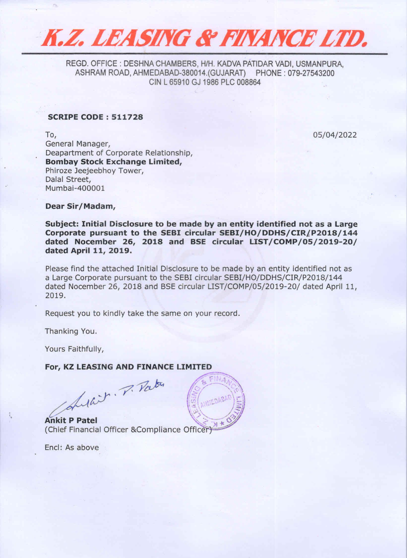

REGD. OFFICE : DESHNA CHAMBERS, H/H. KADVA PATIDAR VADI, USMANPURA, ASHRAM ROAD, AHMEDABAD-380014,(GUJARAT) PHONE : 079-27543200 CIN L 65910 GJ 1986 PLC 008864

## SCRIPE CODE : 511728

To, 05/04/2022 General Manager, Deapartment of Corporate Relationship, Bombay Stock Exchange Limited, Phiroze Jeejeebhoy Tower, Dalal Street, Mumbai-400001

## Dear Sir/Madam,

Subject: Initial Disclosure to be made by an entity identified not as a Large Corporate pursuant to the SEBI circular SEBI/HO/DDHS/CIR/P2018/144 dated Nocember 26, 2018 and BSE circular LIST/COMP/05/2019-20/ dated April 11, 2019.

Please find the attached Initial Disclosure to be made by an entity identified not as a Large Corporate pursuant to the SEBI circular SEBI/HO/DDHS/CIR/P2018/144 dated Nocember 26, 2018 and BSE circular LIST/COMP/05/2019-20/ dated April 11, 2019.

Request you to kindly take the same on your record.

Thanking You.

Yours Faithfuily,

## For, KZ LEASING AND FINANCE LIMITED

Sular. P. Patro

Ankit P Patel ' (Chief Financial Officer &Compliance Officer)

Encl: As above